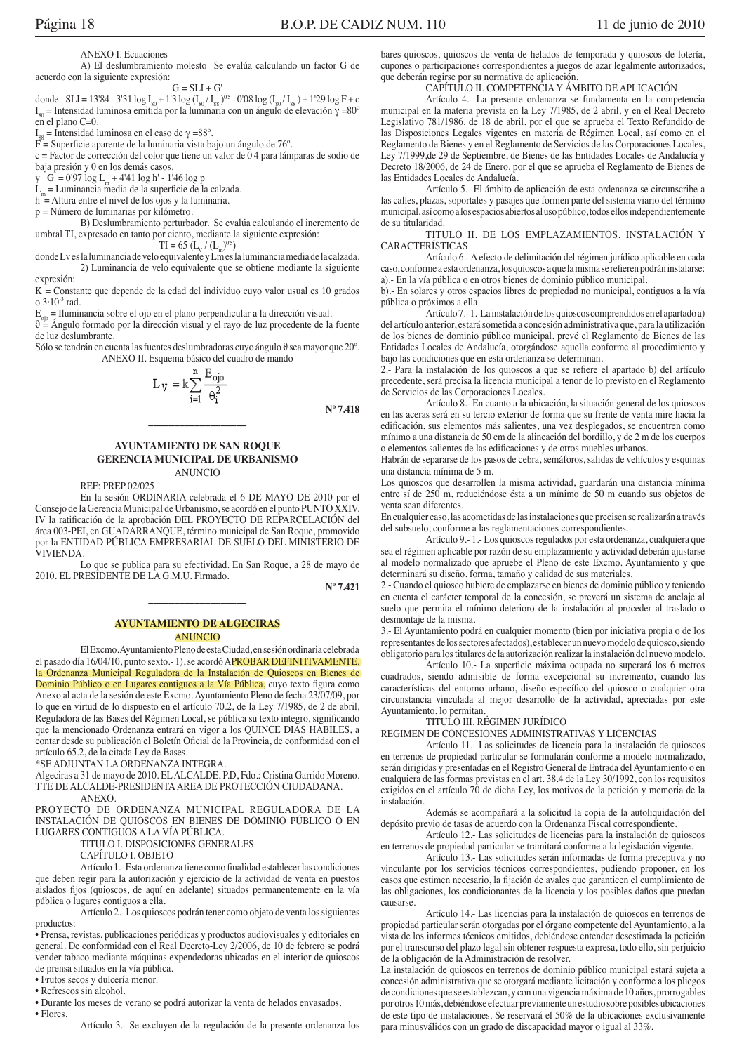**ANEXO I. Ecuaciones** 

A) El deslumbramiento molesto Se evalúa calculando un factor G de acuerdo con la siguiente expresión:

 $G = SLI + G'$ donde SLI = 13'84 - 3'31 log  $I_{80}$  + 1'3 log ( $I_{80}/I_{88}$ )<sup>0'5</sup> - 0'08 log ( $I_{80}/I_{88}$ ) + 1'29 log F + c  $I_{\infty}$  = Intensidad luminosa emitida por la luminaria con un ángulo de elevación  $\gamma$  =80°  $\sin$  el plano C=0.

 $I_{\infty}$  = Intensidad luminosa en el caso de γ =88°.

 $\overrightarrow{F}$  = Superficie aparente de la luminaria vista bajo un ángulo de 76°.

c = Factor de corrección del color que tiene un valor de 0'4 para lámparas de sodio de baja presión y 0 en los demás casos

y  $G' = 0'97 \log L_m + 4'41 \log h' - 1'46 \log p$ 

 $=$  Luminancia media de la superficie de la calzada.

 $h''$  = Altura entre el nivel de los ojos y la luminaria.

 $p = N$ úmero de luminarias por kilómetro.

B) Deslumbramiento perturbador. Se evalúa calculando el incremento de umbral TI, expresado en tanto por ciento, mediante la siguiente expresión:

 $TI = 65 (L_v / (L_m)^{0.5})$ 

donde Lv es la luminancia de velo equivalente y Lm es la luminancia media de la calzada. 2) Luminancia de velo equivalente que se obtiene mediante la siguiente expresión:

 $K =$ Constante que depende de la edad del individuo cuyo valor usual es 10 grados o  $3.10^{-3}$  rad.

 $E_{\text{min}}$  = Iluminancia sobre el ojo en el plano perpendicular a la dirección visual.

 $\vartheta = \text{Angulo}$  formado por la dirección visual y el rayo de luz procedente de la fuente de luz deslumbrante.

Sólo se tendrán en cuenta las fuentes deslumbradoras cuyo ángulo 9 sea mayor que 20°. ANEXO II. Esquema básico del cuadro de mando

$$
L_V = k \sum_{i=1}^{n} \frac{E_{\text{ojo}}}{\theta_i^2}
$$

 $N^0$  7 418

#### **AYUNTAMIENTO DE SAN ROQUE GERENCIA MUNICIPAL DE URBANISMO ANUNCIO**

**REF: PREP 02/025** 

En la sesión ORDINARIA celebrada el 6 DE MAYO DE 2010 por el Consejo de la Gerencia Municipal de Urbanismo, se acordó en el punto PUNTO XXIV. IV la ratificación de la aprobación DEL PROYECTO DE REPARCELACIÓN del área 003-PEI, en GUADARRANQUE, término municipal de San Roque, promovido por la ENTIDAD PÚBLICA EMPRESARIAL DE SUELO DEL MINISTERIO DE VIVIENDA.

Lo que se publica para su efectividad. En San Roque, a 28 de mayo de 2010. EL PRESIDENTE DE LA G.M.U. Firmado.

 $N^{\rm o}$  7.421

#### **AYUNTAMIENTO DE ALGECIRAS ANUNCIO**

El Excmo. Ayuntamiento Pleno de esta Ciudad, en sesión ordinaria celebrada el pasado día 16/04/10, punto sexto. - 1), se acordó APROBAR DEFINITIVAMENTE, la Ordenanza Municipal Reguladora de la Instalación de Quioscos en Bienes de Dominio Público o en Lugares contiguos a la Vía Pública, cuyo texto figura como Anexo al acta de la sesión de este Excmo, Avuntamiento Pleno de fecha 23/07/09, por lo que en virtud de lo dispuesto en el artículo 70.2, de la Ley 7/1985, de 2 de abril, Reguladora de las Bases del Régimen Local, se pública su texto integro, significando que la mencionado Ordenanza entrará en vigor a los QUINCE DIAS HABILES, a contar desde su publicación el Boletín Oficial de la Provincia, de conformidad con el artículo 65.2, de la citada Ley de Bases

\*SE ADJUNTAN LA ORDENANZA INTEGRA.

Algeciras a 31 de mayo de 2010. EL ALCALDE, P.D., Fdo.: Cristina Garrido Moreno. TTE DE ALCALDE-PRESIDENTA AREA DE PROTECCIÓN CIUDADANA. ANEXO.

PROYECTO DE ORDENANZA MUNICIPAL REGULADORA DE LA INSTALACIÓN DE QUIOSCOS EN BIENES DE DOMINIO PÚBLICO O EN LUGARES CONTIGUOS A LA VÍA PÚBLICA.

TITULO I. DISPOSICIONES GENERALES

CAPÍTULO I. OBJETO

Artículo 1.- Esta ordenanza tiene como finalidad establecer las condiciones que deben regir para la autorización y ejercicio de la actividad de venta en puestos aislados fijos (quioscos, de aquí en adelante) situados permanentemente en la vía pública o lugares contiguos a ella.

Artículo 2.-Los quioscos podrán tener como objeto de venta los siguientes productos:

· Prensa, revistas, publicaciones periódicas y productos audiovisuales y editoriales en general. De conformidad con el Real Decreto-Ley 2/2006, de 10 de febrero se podrá vender tabaco mediante máquinas expendedoras ubicadas en el interior de quioscos de prensa situados en la vía pública.

· Frutos secos y dulcería menor.

• Refrescos sin alcohol.

· Durante los meses de verano se podrá autorizar la venta de helados envasados.

· Flores.

Artículo 3.- Se excluyen de la regulación de la presente ordenanza los

bares-quioscos, quioscos de venta de helados de temporada y quioscos de lotería, cupones o participaciones correspondientes a juegos de azar legalmente autorizados, que deberán regirse por su normativa de aplicación.

# CAPÍTULO II. COMPETENCIA Y ÁMBITO DE APLICACIÓN

Artículo 4.- La presente ordenanza se fundamenta en la competencia municipal en la materia prevista en la Ley 7/1985, de 2 abril, y en el Real Decreto Legislativo 781/1986, de 18 de abril, por el que se aprueba el Texto Refundido de las Disposiciones Legales vigentes en materia de Régimen Local, así como en el Reglamento de Bienes y en el Reglamento de Servicios de las Corporaciones Locales, Ley 7/1999, de 29 de Septiembre, de Bienes de las Entidades Locales de Andalucía y Decreto 18/2006, de 24 de Enero, por el que se aprueba el Reglamento de Bienes de las Entidades Locales de Andalucía.

Artículo 5.- El ámbito de aplicación de esta ordenanza se circunscribe a las calles, plazas, soportales y pasajes que formen parte del sistema viario del término municipal, así como a los espacios abiertos al uso público, todos ellos independientemente de su titularidad.

TITULO II. DE LOS EMPLAZAMIENTOS, INSTALACIÓN Y CARACTERÍSTICAS

Artículo 6.- A efecto de delimitación del régimen jurídico aplicable en cada caso, conforme a esta ordenanza, los quioscos a que la misma se refieren podrán instalarse: a).- En la vía pública o en otros bienes de dominio público municipal.

b) - En solares y otros espacios libres de propiedad no municipal, contiguos a la vía pública o próximos a ella.

Artículo 7.-1.-La instalación de los quioscos comprendidos en el apartado a) del artículo anterior, estará sometida a concesión administrativa que, para la utilización de los bienes de dominio público municipal, prevé el Reglamento de Bienes de las Entidades Locales de Andalucía, otorgándose aquella conforme al procedimiento y bajo las condiciones que en esta ordenanza se determinan.

2.- Para la instalación de los quioscos a que se refiere el apartado b) del artículo precedente, será precisa la licencia municipal a tenor de lo previsto en el Reglamento de Servicios de las Corporaciones Locales.

Artículo 8.- En cuanto a la ubicación, la situación general de los quioscos en las aceras será en su tercio exterior de forma que su frente de venta mire hacia la edificación, sus elementos más salientes, una vez desplegados, se encuentren como mínimo a una distancia de 50 cm de la alineación del bordillo, y de 2 m de los cuerpos o elementos salientes de las edificaciones y de otros muebles urbanos

Habrán de separarse de los pasos de cebra, semáforos, salidas de vehículos y esquinas una distancia mínima de 5 m.

Los quioscos que desarrollen la misma actividad, guardarán una distancia mínima entre sí de 250 m, reduciéndose ésta a un mínimo de 50 m cuando sus objetos de venta sean diferentes.

En cualquier caso, las acometidas de las instalaciones que precisen se realizarán a través del subsuelo, conforme a las reglamentaciones correspondientes.

Artículo 9.-1.-Los quioscos regulados por esta ordenanza, cualquiera que sea el régimen aplicable por razón de su emplazamiento y actividad deberán ajustarse al modelo normalizado que apruebe el Pleno de este Excmo. Ayuntamiento y que determinará su diseño, forma, tamaño y calidad de sus materiales.

2.- Cuando el quiosco hubiere de emplazarse en bienes de dominio público y teniendo en cuenta el carácter temporal de la concesión, se preverá un sistema de anclaje al suelo que permita el mínimo deterioro de la instalación al proceder al traslado o desmontaje de la misma.

3.- El Ayuntamiento podrá en cualquier momento (bien por iniciativa propia o de los representantes de los sectores afectados), establecer un nuevo modelo de quiosco, siendo obligatorio para los titulares de la autorización realizar la instalación del nuevo modelo.

Artículo 10.- La superficie máxima ocupada no superará los 6 metros cuadrados, siendo admisible de forma excepcional su incremento, cuando las características del entorno urbano, diseño específico del quiosco o cualquier otra circunstancia vinculada al mejor desarrollo de la actividad, apreciadas por este Ayuntamiento, lo permitan.

### TITULO III. RÉGIMEN JURÍDICO

REGIMEN DE CONCESIONES ADMINISTRATIVAS Y LICENCIAS

Artículo 11.- Las solicitudes de licencia para la instalación de quioscos en terrenos de propiedad particular se formularán conforme a modelo normalizado, serán dirigidas y presentadas en el Registro General de Entrada del Ayuntamiento o en cualquiera de las formas previstas en el art. 38.4 de la Ley 30/1992, con los requisitos exigidos en el artículo  $70$  de dicha Ley, los motivos de la petición y memoria de la instalación

Además se acompañará a la solicitud la copia de la autoliquidación del depósito previo de tasas de acuerdo con la Ordenanza Fiscal correspondiente.

Artículo 12.- Las solicitudes de licencias para la instalación de quioscos en terrenos de propiedad particular se tramitará conforme a la legislación vigente.

Artículo 13.- Las solicitudes serán informadas de forma preceptiva y no vinculante por los servicios técnicos correspondientes, pudiendo proponer, en los casos que estimen necesario, la fijación de avales que garanticen el cumplimiento de las obligaciones, los condicionantes de la licencia y los posibles daños que puedan causarse.

Artículo 14.- Las licencias para la instalación de quioscos en terrenos de propiedad particular serán otorgadas por el órgano competente del Ayuntamiento, a la vista de los informes técnicos emitidos, debiéndose entender desestimada la petición por el transcurso del plazo legal sin obtener respuesta expresa, todo ello, sin perjuicio de la obligación de la Administración de resolver.

La instalación de quioscos en terrenos de dominio público municipal estará sujeta a concesión administrativa que se otorgará mediante licitación y conforme a los pliegos de condiciones que se establezcan, y con una vigencia máxima de 10 años, prorrogables por otros 10 más, debiéndose efectuar previamente un estudio sobre posibles ubicaciones de este tipo de instalaciones. Se reservará el 50% de la ubicaciones exclusivamente para minusválidos con un grado de discapacidad mayor o igual al 33%.